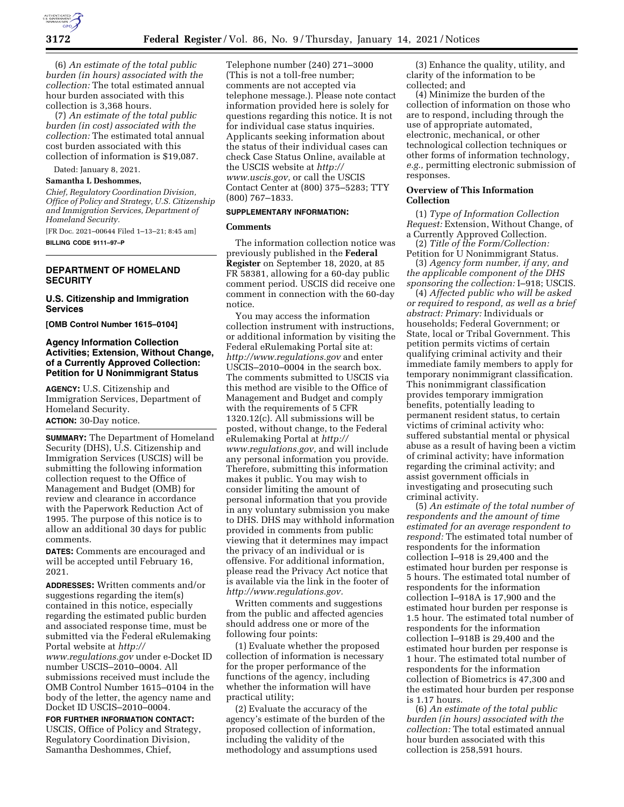

(6) *An estimate of the total public burden (in hours) associated with the collection:* The total estimated annual hour burden associated with this collection is 3,368 hours.

(7) *An estimate of the total public burden (in cost) associated with the collection:* The estimated total annual cost burden associated with this collection of information is \$19,087.

Dated: January 8, 2021.

# **Samantha L Deshommes,**

*Chief, Regulatory Coordination Division, Office of Policy and Strategy, U.S. Citizenship and Immigration Services, Department of Homeland Security.* 

[FR Doc. 2021–00644 Filed 1–13–21; 8:45 am] **BILLING CODE 9111–97–P** 

# **DEPARTMENT OF HOMELAND SECURITY**

## **U.S. Citizenship and Immigration Services**

**[OMB Control Number 1615–0104]** 

# **Agency Information Collection Activities; Extension, Without Change, of a Currently Approved Collection: Petition for U Nonimmigrant Status**

**AGENCY:** U.S. Citizenship and Immigration Services, Department of Homeland Security.

# **ACTION:** 30-Day notice.

**SUMMARY:** The Department of Homeland Security (DHS), U.S. Citizenship and Immigration Services (USCIS) will be submitting the following information collection request to the Office of Management and Budget (OMB) for review and clearance in accordance with the Paperwork Reduction Act of 1995. The purpose of this notice is to allow an additional 30 days for public comments.

**DATES:** Comments are encouraged and will be accepted until February 16, 2021.

**ADDRESSES:** Written comments and/or suggestions regarding the item(s) contained in this notice, especially regarding the estimated public burden and associated response time, must be submitted via the Federal eRulemaking Portal website at *[http://](http://www.regulations.gov) [www.regulations.gov](http://www.regulations.gov)* under e-Docket ID number USCIS–2010–0004. All submissions received must include the OMB Control Number 1615–0104 in the body of the letter, the agency name and Docket ID USCIS–2010–0004.

# **FOR FURTHER INFORMATION CONTACT:**

USCIS, Office of Policy and Strategy, Regulatory Coordination Division, Samantha Deshommes, Chief,

Telephone number (240) 271–3000 (This is not a toll-free number; comments are not accepted via telephone message.). Please note contact information provided here is solely for questions regarding this notice. It is not for individual case status inquiries. Applicants seeking information about the status of their individual cases can check Case Status Online, available at the USCIS website at *[http://](http://www.uscis.gov) [www.uscis.gov,](http://www.uscis.gov)* or call the USCIS Contact Center at (800) 375–5283; TTY (800) 767–1833.

#### **SUPPLEMENTARY INFORMATION:**

#### **Comments**

The information collection notice was previously published in the **Federal Register** on September 18, 2020, at 85 FR 58381, allowing for a 60-day public comment period. USCIS did receive one comment in connection with the 60-day notice.

You may access the information collection instrument with instructions, or additional information by visiting the Federal eRulemaking Portal site at: *<http://www.regulations.gov>* and enter USCIS–2010–0004 in the search box. The comments submitted to USCIS via this method are visible to the Office of Management and Budget and comply with the requirements of 5 CFR 1320.12(c). All submissions will be posted, without change, to the Federal eRulemaking Portal at *[http://](http://www.regulations.gov) [www.regulations.gov,](http://www.regulations.gov)* and will include any personal information you provide. Therefore, submitting this information makes it public. You may wish to consider limiting the amount of personal information that you provide in any voluntary submission you make to DHS. DHS may withhold information provided in comments from public viewing that it determines may impact the privacy of an individual or is offensive. For additional information, please read the Privacy Act notice that is available via the link in the footer of *[http://www.regulations.gov.](http://www.regulations.gov)* 

Written comments and suggestions from the public and affected agencies should address one or more of the following four points:

(1) Evaluate whether the proposed collection of information is necessary for the proper performance of the functions of the agency, including whether the information will have practical utility;

(2) Evaluate the accuracy of the agency's estimate of the burden of the proposed collection of information, including the validity of the methodology and assumptions used

(3) Enhance the quality, utility, and clarity of the information to be collected; and

(4) Minimize the burden of the collection of information on those who are to respond, including through the use of appropriate automated, electronic, mechanical, or other technological collection techniques or other forms of information technology, *e.g.,* permitting electronic submission of responses.

### **Overview of This Information Collection**

(1) *Type of Information Collection Request:* Extension, Without Change, of a Currently Approved Collection.

(2) *Title of the Form/Collection:*  Petition for U Nonimmigrant Status.

(3) *Agency form number, if any, and the applicable component of the DHS sponsoring the collection:* I–918; USCIS.

(4) *Affected public who will be asked or required to respond, as well as a brief abstract: Primary:* Individuals or households; Federal Government; or State, local or Tribal Government. This petition permits victims of certain qualifying criminal activity and their immediate family members to apply for temporary nonimmigrant classification. This nonimmigrant classification provides temporary immigration benefits, potentially leading to permanent resident status, to certain victims of criminal activity who: suffered substantial mental or physical abuse as a result of having been a victim of criminal activity; have information regarding the criminal activity; and assist government officials in investigating and prosecuting such criminal activity.

(5) *An estimate of the total number of respondents and the amount of time estimated for an average respondent to respond:* The estimated total number of respondents for the information collection I–918 is 29,400 and the estimated hour burden per response is 5 hours. The estimated total number of respondents for the information collection I–918A is 17,900 and the estimated hour burden per response is 1.5 hour. The estimated total number of respondents for the information collection I–918B is 29,400 and the estimated hour burden per response is 1 hour. The estimated total number of respondents for the information collection of Biometrics is 47,300 and the estimated hour burden per response is 1.17 hours.

(6) *An estimate of the total public burden (in hours) associated with the collection:* The total estimated annual hour burden associated with this collection is 258,591 hours.